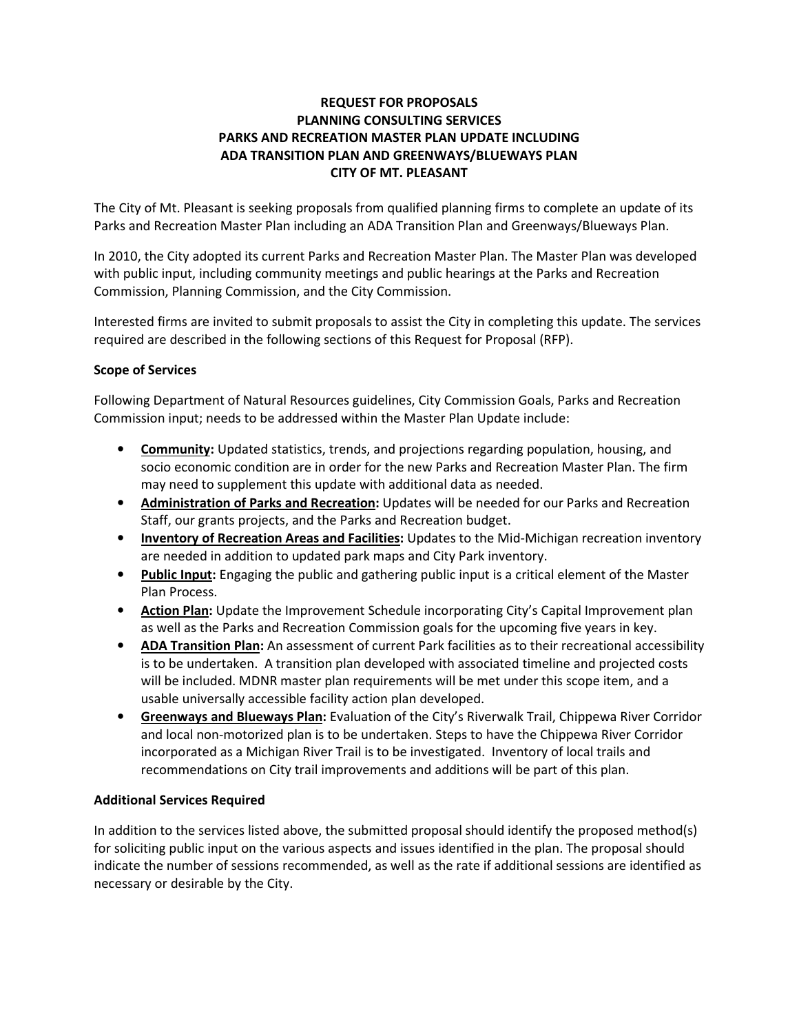# REQUEST FOR PROPOSALS PLANNING CONSULTING SERVICES PARKS AND RECREATION MASTER PLAN UPDATE INCLUDING ADA TRANSITION PLAN AND GREENWAYS/BLUEWAYS PLAN CITY OF MT. PLEASANT

The City of Mt. Pleasant is seeking proposals from qualified planning firms to complete an update of its Parks and Recreation Master Plan including an ADA Transition Plan and Greenways/Blueways Plan.

In 2010, the City adopted its current Parks and Recreation Master Plan. The Master Plan was developed with public input, including community meetings and public hearings at the Parks and Recreation Commission, Planning Commission, and the City Commission.

Interested firms are invited to submit proposals to assist the City in completing this update. The services required are described in the following sections of this Request for Proposal (RFP).

## Scope of Services

Following Department of Natural Resources guidelines, City Commission Goals, Parks and Recreation Commission input; needs to be addressed within the Master Plan Update include:

- Community: Updated statistics, trends, and projections regarding population, housing, and socio economic condition are in order for the new Parks and Recreation Master Plan. The firm may need to supplement this update with additional data as needed.
- Administration of Parks and Recreation: Updates will be needed for our Parks and Recreation Staff, our grants projects, and the Parks and Recreation budget.
- **Inventory of Recreation Areas and Facilities:** Updates to the Mid-Michigan recreation inventory are needed in addition to updated park maps and City Park inventory.
- Public Input: Engaging the public and gathering public input is a critical element of the Master Plan Process.
- Action Plan: Update the Improvement Schedule incorporating City's Capital Improvement plan as well as the Parks and Recreation Commission goals for the upcoming five years in key.
- ADA Transition Plan: An assessment of current Park facilities as to their recreational accessibility is to be undertaken. A transition plan developed with associated timeline and projected costs will be included. MDNR master plan requirements will be met under this scope item, and a usable universally accessible facility action plan developed.
- **Greenways and Blueways Plan:** Evaluation of the City's Riverwalk Trail, Chippewa River Corridor and local non-motorized plan is to be undertaken. Steps to have the Chippewa River Corridor incorporated as a Michigan River Trail is to be investigated. Inventory of local trails and recommendations on City trail improvements and additions will be part of this plan.

### Additional Services Required

In addition to the services listed above, the submitted proposal should identify the proposed method(s) for soliciting public input on the various aspects and issues identified in the plan. The proposal should indicate the number of sessions recommended, as well as the rate if additional sessions are identified as necessary or desirable by the City.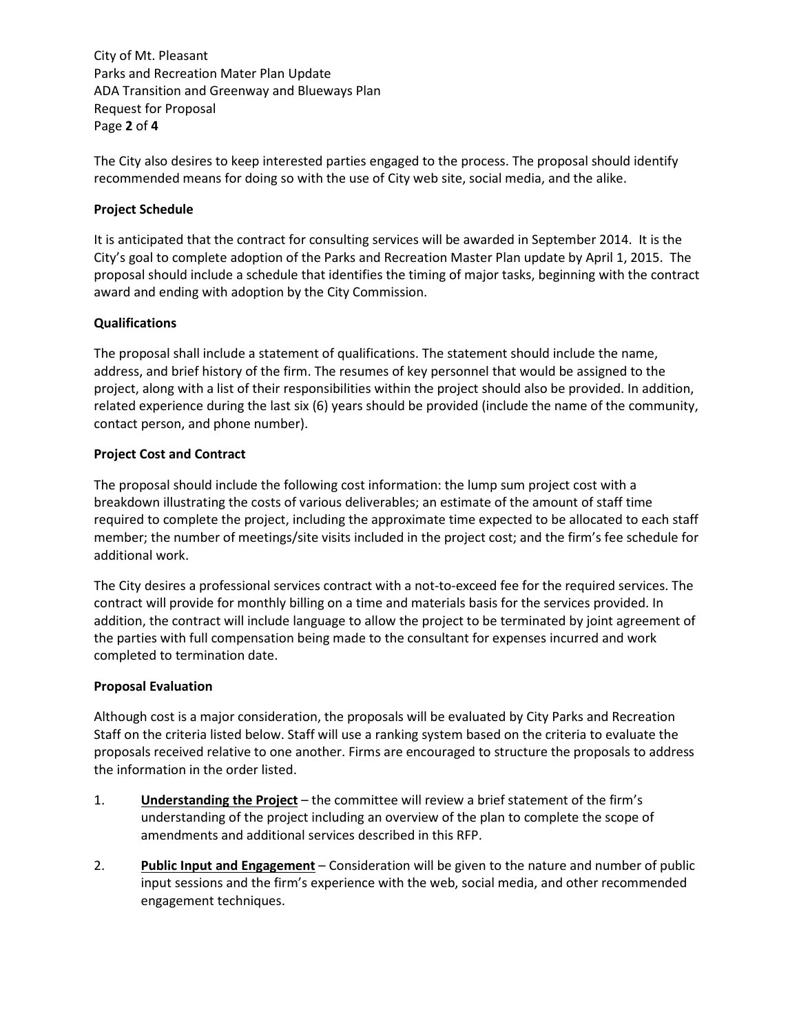City of Mt. Pleasant Parks and Recreation Mater Plan Update ADA Transition and Greenway and Blueways Plan Request for Proposal Page 2 of 4

The City also desires to keep interested parties engaged to the process. The proposal should identify recommended means for doing so with the use of City web site, social media, and the alike.

### Project Schedule

It is anticipated that the contract for consulting services will be awarded in September 2014. It is the City's goal to complete adoption of the Parks and Recreation Master Plan update by April 1, 2015. The proposal should include a schedule that identifies the timing of major tasks, beginning with the contract award and ending with adoption by the City Commission.

## Qualifications

The proposal shall include a statement of qualifications. The statement should include the name, address, and brief history of the firm. The resumes of key personnel that would be assigned to the project, along with a list of their responsibilities within the project should also be provided. In addition, related experience during the last six (6) years should be provided (include the name of the community, contact person, and phone number).

## Project Cost and Contract

The proposal should include the following cost information: the lump sum project cost with a breakdown illustrating the costs of various deliverables; an estimate of the amount of staff time required to complete the project, including the approximate time expected to be allocated to each staff member; the number of meetings/site visits included in the project cost; and the firm's fee schedule for additional work.

The City desires a professional services contract with a not-to-exceed fee for the required services. The contract will provide for monthly billing on a time and materials basis for the services provided. In addition, the contract will include language to allow the project to be terminated by joint agreement of the parties with full compensation being made to the consultant for expenses incurred and work completed to termination date.

### Proposal Evaluation

Although cost is a major consideration, the proposals will be evaluated by City Parks and Recreation Staff on the criteria listed below. Staff will use a ranking system based on the criteria to evaluate the proposals received relative to one another. Firms are encouraged to structure the proposals to address the information in the order listed.

- 1. **Understanding the Project** the committee will review a brief statement of the firm's understanding of the project including an overview of the plan to complete the scope of amendments and additional services described in this RFP.
- 2. Public Input and Engagement Consideration will be given to the nature and number of public input sessions and the firm's experience with the web, social media, and other recommended engagement techniques.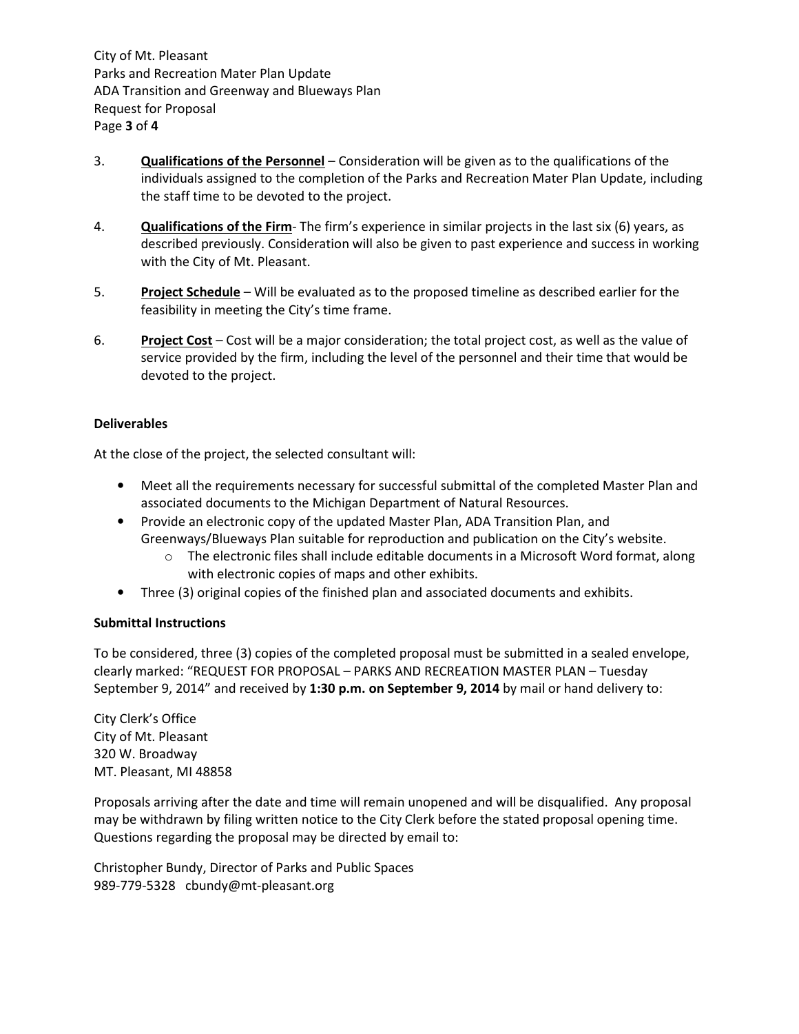City of Mt. Pleasant Parks and Recreation Mater Plan Update ADA Transition and Greenway and Blueways Plan Request for Proposal Page 3 of 4

- 3. Qualifications of the Personnel Consideration will be given as to the qualifications of the individuals assigned to the completion of the Parks and Recreation Mater Plan Update, including the staff time to be devoted to the project.
- 4. **Qualifications of the Firm** The firm's experience in similar projects in the last six (6) years, as described previously. Consideration will also be given to past experience and success in working with the City of Mt. Pleasant.
- 5. Project Schedule Will be evaluated as to the proposed timeline as described earlier for the feasibility in meeting the City's time frame.
- 6. Project Cost Cost will be a major consideration; the total project cost, as well as the value of service provided by the firm, including the level of the personnel and their time that would be devoted to the project.

### Deliverables

At the close of the project, the selected consultant will:

- Meet all the requirements necessary for successful submittal of the completed Master Plan and associated documents to the Michigan Department of Natural Resources.
- Provide an electronic copy of the updated Master Plan, ADA Transition Plan, and Greenways/Blueways Plan suitable for reproduction and publication on the City's website.
	- $\circ$  The electronic files shall include editable documents in a Microsoft Word format, along with electronic copies of maps and other exhibits.
- Three (3) original copies of the finished plan and associated documents and exhibits.

### Submittal Instructions

To be considered, three (3) copies of the completed proposal must be submitted in a sealed envelope, clearly marked: "REQUEST FOR PROPOSAL – PARKS AND RECREATION MASTER PLAN – Tuesday September 9, 2014" and received by 1:30 p.m. on September 9, 2014 by mail or hand delivery to:

City Clerk's Office City of Mt. Pleasant 320 W. Broadway MT. Pleasant, MI 48858

Proposals arriving after the date and time will remain unopened and will be disqualified. Any proposal may be withdrawn by filing written notice to the City Clerk before the stated proposal opening time. Questions regarding the proposal may be directed by email to:

Christopher Bundy, Director of Parks and Public Spaces 989-779-5328 cbundy@mt-pleasant.org